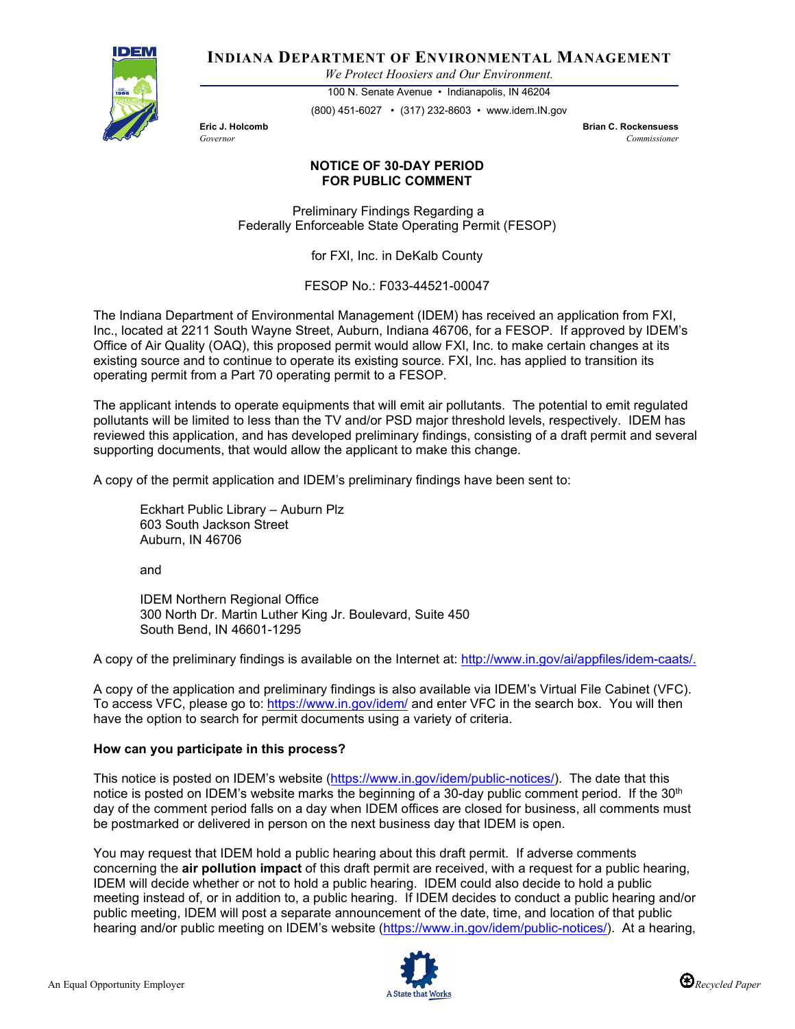

**INDIANA DEPARTMENT OF ENVIRONMENTAL MANAGEMENT**

*We Protect Hoosiers and Our Environment.*

100 N. Senate Avenue • Indianapolis, IN 46204 (800) 451-6027 • (317) 232-8603 • www.idem.IN.gov

**Eric J. Holcomb Brian C. Rockensuess** *Governor Commissioner* 

## **NOTICE OF 30-DAY PERIOD FOR PUBLIC COMMENT**

Preliminary Findings Regarding a Federally Enforceable State Operating Permit (FESOP)

for FXI, Inc. in DeKalb County

FESOP No.: F033-44521-00047

The Indiana Department of Environmental Management (IDEM) has received an application from FXI, Inc., located at 2211 South Wayne Street, Auburn, Indiana 46706, for a FESOP. If approved by IDEM's Office of Air Quality (OAQ), this proposed permit would allow FXI, Inc. to make certain changes at its existing source and to continue to operate its existing source. FXI, Inc. has applied to transition its operating permit from a Part 70 operating permit to a FESOP.

The applicant intends to operate equipments that will emit air pollutants. The potential to emit regulated pollutants will be limited to less than the TV and/or PSD major threshold levels, respectively. IDEM has reviewed this application, and has developed preliminary findings, consisting of a draft permit and several supporting documents, that would allow the applicant to make this change.

A copy of the permit application and IDEM's preliminary findings have been sent to:

Eckhart Public Library – Auburn Plz 603 South Jackson Street Auburn, IN 46706

and

IDEM Northern Regional Office 300 North Dr. Martin Luther King Jr. Boulevard, Suite 450 South Bend, IN 46601-1295

A copy of the preliminary findings is available on the Internet at: [http://www.in.gov/ai/appfiles/idem-caats/.](http://www.in.gov/ai/appfiles/idem-caats/)

A copy of the application and preliminary findings is also available via IDEM's Virtual File Cabinet (VFC). To access VFC, please go to:<https://www.in.gov/idem/> and enter VFC in the search box. You will then have the option to search for permit documents using a variety of criteria.

## **How can you participate in this process?**

This notice is posted on IDEM's website [\(https://www.in.gov/idem/public-notices/\)](https://www.in.gov/idem/public-notices/). The date that this notice is posted on IDEM's website marks the beginning of a 30-day public comment period. If the 30<sup>th</sup> day of the comment period falls on a day when IDEM offices are closed for business, all comments must be postmarked or delivered in person on the next business day that IDEM is open.

You may request that IDEM hold a public hearing about this draft permit. If adverse comments concerning the **air pollution impact** of this draft permit are received, with a request for a public hearing, IDEM will decide whether or not to hold a public hearing. IDEM could also decide to hold a public meeting instead of, or in addition to, a public hearing. If IDEM decides to conduct a public hearing and/or public meeting, IDEM will post a separate announcement of the date, time, and location of that public hearing and/or public meeting on IDEM's website [\(https://www.in.gov/idem/public-notices/\)](https://www.in.gov/idem/public-notices/). At a hearing,